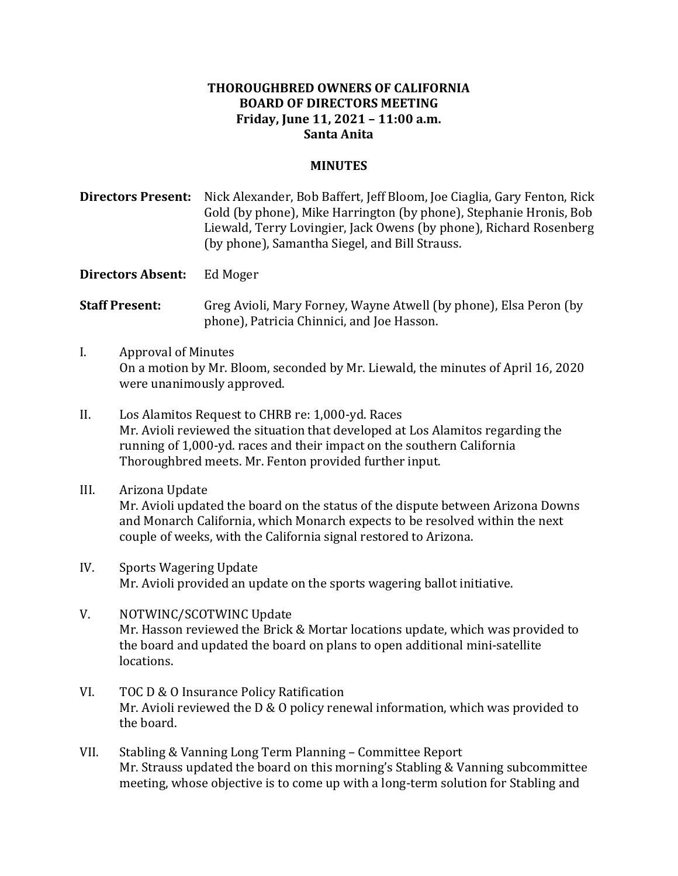## **THOROUGHBRED OWNERS OF CALIFORNIA BOARD OF DIRECTORS MEETING Friday, June 11, 2021 – 11:00 a.m. Santa Anita**

## **MINUTES**

**Directors Present:** Nick Alexander, Bob Baffert, Jeff Bloom, Joe Ciaglia, Gary Fenton, Rick Gold (by phone), Mike Harrington (by phone), Stephanie Hronis, Bob Liewald, Terry Lovingier, Jack Owens (by phone), Richard Rosenberg (by phone), Samantha Siegel, and Bill Strauss.

**Directors Absent:** Ed Moger

**Staff Present:** Greg Avioli, Mary Forney, Wayne Atwell (by phone), Elsa Peron (by phone), Patricia Chinnici, and Joe Hasson.

- I. Approval of Minutes On a motion by Mr. Bloom, seconded by Mr. Liewald, the minutes of April 16, 2020 were unanimously approved.
- II. Los Alamitos Request to CHRB re: 1,000-yd. Races Mr. Avioli reviewed the situation that developed at Los Alamitos regarding the running of 1,000-yd. races and their impact on the southern California Thoroughbred meets. Mr. Fenton provided further input.
- III. Arizona Update Mr. Avioli updated the board on the status of the dispute between Arizona Downs and Monarch California, which Monarch expects to be resolved within the next couple of weeks, with the California signal restored to Arizona.
- IV. Sports Wagering Update Mr. Avioli provided an update on the sports wagering ballot initiative.
- V. NOTWINC/SCOTWINC Update Mr. Hasson reviewed the Brick & Mortar locations update, which was provided to the board and updated the board on plans to open additional mini-satellite locations.
- VI. TOC D & O Insurance Policy Ratification Mr. Avioli reviewed the  $D & O$  policy renewal information, which was provided to the board.
- VII. Stabling & Vanning Long Term Planning Committee Report Mr. Strauss updated the board on this morning's Stabling & Vanning subcommittee meeting, whose objective is to come up with a long-term solution for Stabling and